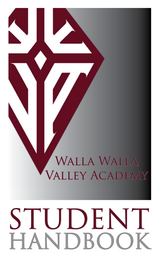# STUDENT<br>HANDROOK HANDBOO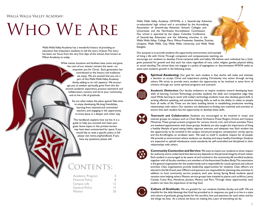# Who We Are

Walla Walla Valley Academy has a wonderful history of providing an education that empowers students to tell the story of Jesus. This story has been our focus from the very first days of the school, then known as Milton Academy, to today.



*You* are what makes this place special. Take time to enjoy developing life-long friendships, learning from talented and committed teachers, and engaging in the opportunity to know Jesus in a deeper and richer way.

This handbook explains how we live. It is a guide to help you succeed and meet your goals. Some topics in this printed version may have been summarized for space. If you would like to read a specific policy in full please visit wwva.org/handbook. If you have any questions, please ask!

# ONTENTS:

| <b>Academic Program</b> |                |
|-------------------------|----------------|
| <b>Financial Policy</b> | 8              |
| Campus Life             | $\overline{1}$ |
| <b>General Policy</b>   | 15             |
| <b>Mission</b>          | 20             |
|                         |                |

Walla Walla Valley Academy (WWVA) is a Seventh-day Adventist co-educational high school and is accredited by the Accrediting Association of Seventh-day Adventist Schools Colleges and Universities and the Northwest Accreditation Commission. Our school is operated by the Upper Columbia Conference of Seventh-day Adventists and the following churches in the Walla Walla Valley: College Place, Milton-Freewater, Stateline, Touchet, Umapine, Walla Walla City, Walla Walla University, and Walla Walla Eastgate.

Our purpose is to provide students the opportunity, environment, and example of living a life with Christ. Through competent and compassionate teaching, we

encourage our students to develop Christ-centered skills and habits. We believe each individual has a Godgiven potential for growth and that each has value regardless of race, color, religion, gender, physical ability, or social standing. The school does not engage in a policy of segregation or discrimination. WWVA seeks to assist each student's growth in the following areas:



**Spiritual Awakening:** Our goal for each student is that she/he will make and maintain a decision to accept Christ and experience putting Christianity into action through serving others. We strive to provide every student the opportunity to be involved in some form of ministry through our active spiritual programs and outreach.



**Academic Distinction:** Our faculty endeavors to inspire students toward developing basic skills of learning. Current Technology provides students the skills and competitive edge they need. While learning to work with today's technology, students must also develop good skills in writing, effective speaking, and sensitive listening skills, as well as the ability to relate to people from all walks of life. These are the basic building blocks in establishing productive working relationships with others. Our teachers are dedicated to finding new methods and activities to ensure that each student has the opportunity to develop these skills.



**Teamwork and Collaboration:** Students are encouraged to be involved in music and interest groups on campus, such as Choir, Band, Orchestra, Praise Ringers, Drama and Campus Ministries. These groups present programs for various church, civic, and school activities. There are weekend appointments with these groups. Students are also taught the importance of living a healthy lifestyle of good eating habits, vigorous exercise, and adequate rest. Each student has the opportunity to be involved in the campus intramural program, varsity/junior varsity sports, and the AcroKnights, an acrobatic team. We seek to instill in students respect for all people. We provide an environment where students can develop and enjoy healthy friendships. Students are expected to uphold wholesome social standards, be self-controlled and disciplined in their relationships with others.



**Community Connection and Service:** We want to inspire our students to show respect for authority and to understand that democracy depends on the personal integrity of each citizen. Each student is encouraged to be aware of and involved in the community. All enrolled students, together with all faculty members, are members of the Associated Student Body. This association is the general organization for the student body and is responsible for social, spiritual, and cultural activities. Class organizations provide leadership opportunities for students. Class officers are elected in the fall of each year. Officers and sponsors are responsible for planning class activities. In addition to local community service projects, each year during Spring Break students spend vacation time helping others. Mission service groups have traveled to places such as Africa, Latvia, Canada, Costa Rica, Honduras, Jamaica, Mexico, and Peru. Through these opportunities each student can have the experience of serving God.



**Culture of Gratitude:** We are grateful for our students, families, faculty and staff. We are thankful for the daily blessings that God has provided us. In response, our goal is to live in a state and culture of gratitude, giving thanks for His sacrifice, love and attention, for each other and for the things we have. As a school, we focus on making this a part of everything we do.

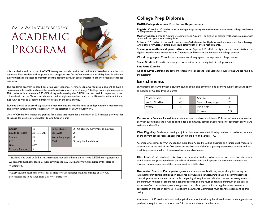# ACADEMIC PROGRAM



It is the desire and purpose of WWVA faculty to provide quality instruction and excellence in scholastic standards. Each student will be given a class program that fits his/her interests and ability level. In addition, every student is expected to maintain positive academic growth each semester in order to retain attendance privileges.

The academic program is based on a four-year sequence. A general diploma requires a student to have a minimum of 240 credits and meet the specific criteria in each area of study. A College Prep Diploma requires 270 credits with a minimum 3.25 GPA along with meeting the CADR's and successful completion of two college-level courses. To earn enrichments on their diplomas students must earn 270 credits with a minimum 3.25 GPA as well as a specific number of credits in the area of study.

Students should be aware that graduation requirements are not the same as college entrance requirements. This is why careful planning is necessary for the selection of yearly coursework.

Units of Credit: Five credits are granted for a class that meets for a minimum of 225 minutes per week for 18 weeks. Ten credits are equivalent to one Carnegie unit.

| English          | 40            |  | Social Studies  | 30- US History, Government, Electives |  |  |  |  |
|------------------|---------------|--|-----------------|---------------------------------------|--|--|--|--|
| Health & Fitness | 20 (5 Health) |  | Fine Arts       | 20                                    |  |  |  |  |
| Science          | 30            |  | World Languages | 20                                    |  |  |  |  |
| <b>CTE</b>       | 10            |  | Math            | 30- Algebra I and above $*$           |  |  |  |  |
| Bible            | $40**$        |  |                 |                                       |  |  |  |  |
| Personal Finance | 5             |  |                 |                                       |  |  |  |  |

\* Students who work with the SPED resources may take other math classes to fulfill these requirements. All students must have taken a course covering the WA State history topics required by the state of Washington.

\*\*Every student must earn five credits of bible for each semester she/he is enrolled at WWVA. Bible classes are to be taken from a WWVA instructor.

# **College Prep Diploma**

**CADR: College Academic Distribution Requirements**

**English:** 40 credits. 30 credits must be college preparatory composition or literature or college level work in composition or literature.

**Mathematics: 3**0 credits. Algebra I, Geometry, and Algebra II or higher, or college mathematics course with intermediate algebra as a prerequisite.

**Science:** 20 credits of lab-based science, one of which must be Algebra-based and one must be in Biology, Chemistry or Physics; A single class could satisfy both of these requirements.

**Senior year math-based quantitative course:** Algebra II, Pre-Calc or higher math course, statistics, an algebra-based science course such as Chemistry or Physics, or the comparable college courses.

**World Languages:** 20 credits of the same world language or the equivalent college courses.

**Social Studies:** 30 credits in history or social sciences or the equivalent college courses.

**Fine Arts:** 20 credits

**College Level Courses:** Students must take two (2) college level academic courses that are approved by the Registrar.

# **Enrichments**

Enrichments are earned when a student studies above and beyond in one or more subject areas and apply to Regular or College Prep Diplomas

| Mathematics    |  | Science         |  |
|----------------|--|-----------------|--|
| Social Studies |  | World Languages |  |
| Music          |  | Fine Arts       |  |
|                |  | Drama           |  |

**Community Service Award:** Any student who accumulates a minimum 75 hours of community service per year during high school will be eligible for a community service award. Forms to document service are available in the office.

**Class Eligibility:** Students expecting to join a class must have the following number of credits at the start of the current school year: Sophomores 60, Juniors 110, and Seniors 170.

A senior who comes to WWVA needing more than 70 credits will be classified as a junior until grades are re-evaluated at the end of the first semester. At that time if she/he is passing appropriate courses and on track to graduate, she/he will be moved to senior class status.

**Class Load:** A full class load is six classes per semester. Students who want to take more than six classes or 60 credits per year should seek the advice of parents and the Registrar. If a part-time student takes three or more classes, one of the classes must be a Bible class.

**Graduation Services Participation:** Juniors and seniors involved in any major discipline during the last quarter may forfeit participation privileges in graduation services. Participation in commencement is contingent upon a student successfully completing all required and elective courses necessary to earn the minimum number of credits for a general diploma. Seniors must be taking a minimum of six classes, exclusive of teacher assistant, work assignments and off-campus credits, during the second semester to participate in graduation services. The Academic Standards Committee must approve exceptions to this policy.

4 5 graduation requirements, no more than 35 credits are allowed in either area. A maximum of 55 credits of music and physical education/health may be allowed toward meeting minimum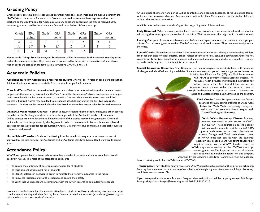# **Grading Policy**

Grade reports are emailed to students and parent(s)/guardian(s) each week and are available through the MyWWVA account portal for each class. Parents are invited to examine these reports and to contact teachers or the Vice Principal for Academics with any questions concerning the grades received. Only semester grades earned by the student are final and recorded on his/her transcript.

| Grade | <b>GPA</b> | Grade | <b>GPA</b> | Grade | <b>GPA</b> | Grade | <b>GPA</b> |
|-------|------------|-------|------------|-------|------------|-------|------------|
|       | points     |       | points     |       | points     |       | points     |
| А     |            |       |            |       |            |       |            |
| A-    | 3.7        | B-    | 2.7        |       | 1.7        |       |            |
| $B+$  | 3.3        |       | 2.3        | D+    |            |       |            |

Honor cords, College Prep diplomas, and Enrichments will be determined by the academic standing at the end of the seventh semester. High honor cords are earned by those with a cumulative 3.75 and above, Honor cords are earned by students with a cumulative GPA of 3.5 to 3.74.

# **Academic Policies**

**Acceleration Policy:** Acceleration is reserved for students who will be 19 years of age before graduation. Additional policy information is available from the Vice Principal for Academics.

**Class Add/Drop:** Written permission to drop or add a class must be obtained from the student's parent or guardian, the teacher(s) involved and the Vice Principal for Academics. A class is not considered dropped until a completed form has been returned to the office. Students should continue to attend until that process is finalized. A class may be added to a student's schedule only during the first two weeks of a semester. No class can be dropped after the date listed on the online master calendar for each semester.

**Online/Correspondence Courses:** In order to assure credit for home-school, online, and other courses not taken at the Academy a student must have the approval of the Academic Standards Committee. Online courses are only allowed for a limited number of the credits required for graduation. Choice of online schools must be approved by the Registrar in order to receive credit. Seniors should complete all correspondence work needed for graduation by April 30 in order to have confirmation that each course is completed and passed.

**Home School Transfers:** Students transferring from home school programs must have coursework approved by the Vice Principal for Academics and/or Academic Standards Committee before credit can be given.

# **Attendance Policy**

WWVA recognizes that consistent school attendance, academic success, and school completion are all positively related. The goals of this attendance policy are;

- To ensure the continuity of classroom experiences for all students
- To raise student achievement for all students
- To identify patterns in behavior in order to mitigate their negative outcomes in the future
- To know the locations of all of the students and ensure their safety
- To verify that all students are in compliance with the laws in regards to compulsory attendance

Parents are notified each day of a student's attendance. Students will have 2 school days to clear any unexcused absences starting with their first day back. Parents can send a note, email (attendance@wwva.org), or call the office to excuse a student's absence.

An unexcused absence for one period will be counted as one unexcused absence. Three unexcused tardies will equal one unexcused absence. An attendance code of LC (Left Class) means that the student left class without the teacher's permission.

Administration will contact a student's guardians regarding each of these actions.

**Early Dismissal:** When a parent/guardian finds it necessary to pick up their students before the end of the school day, they must sign out the student in the office. The student must then sign out in the office as well.

**Leaving Campus:** Students who leave campus before their regular school day is completed must get permission from a parent/guardian to the office before they are allowed to leave. They then need to sign out in the office.

Loss of Credit: If a student accumulates 15 or more absences in any class during a semester they will lose credit for that class for that semester. School related absences, hospital stays, and court appearances do not count towards this total but all other excused and unexcused absences are included in this policy. This loss of credit can be appealed to the Administrative Council.

**Special Education Resources:** Our Resource Program is designed to assist students with academic challenges and identified learning disabilities. Students, teachers, and parents work together to develop an

Individualized Education Plan (IEP) or a Modified Academic Plan (MAP) to promote student academic success. The Resource Room provides individualized instruction for students under a Certified Special Education Teacher. Academic needs are met within the resource room or through modifications in regular classrooms. Students are tested and assessed before being admitted to the program.

> **Dual Credit:** Curricular opportunities are further expanded through course offerings at Walla Walla University, Walla Walla Community College, as well as our concurrent enrollment program with Central Washington University.

**Walla Walla University Classes:** Academy seniors may enroll in one course at WWU per quarter. These courses do cost the senior \$75 per credit. Students must have a 3.25 GPA, good attendance record, and meet other selected criteria. College level /Dual credit classes taken at WWU must not conflict with the students' academy class schedules and will count toward their required course load at WWVA. Credits earned at WWU may also be credited to their WWVA transcript towards graduation. The Registrar has a list of selected courses as well as enrollment forms for this program. Approval by the Academic Standards Committee must be obtained

before recieving credit for a WWU course at WWVA.

**Transcripts:** All new students applying to attend WWVA must furnish a record of their previous schooling. Entering freshmen must show evidence of completion of the eighth grade. Acceptance will be probationary until these records are on file.

If you have questions about our Academic Program, class availability, schedules or policy, contact Erik Borges Principal/Registrar at borger@wwva.org or call 509-525-1050 x212.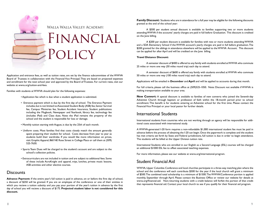

# Financial Policy

Application and entrance fees, as well as tuition rates, are set by the finance subcommittee of the WWVA Board of Trustees in collaboration with the Financial Vice Principal. They are based on projected expenses and enrollment for the next school year and approved by the Board of Trustees. For current rates, visit our website at wwva.org/tuition-and-fees.

Families with students at WWVA should plan for the following expenses:

- Application fee which is due when a student application is submitted.
- Entrance payment which is due by the first day of school. The Entrance Payment includes, but is not limited to: Associated Student Body (ASB) fee, Senior Survival fee, Campus Ministries fee, Student Accident Insurance, Student publications including the Mugbook, Newspaper and Yearbook, library fee, technology fee (includes iPad) and Class dues. Note: the iPad remains the property of the school and the student is responsible for loss or damage.
- Monthly tuition starting with August, is due by the 25th of each month.
- Uniform costs. Most families find that costs closely match the amount generally spent preparing their student for school. Costs decrease from year to year as students build their wardrobe. If you would like more information on prices, visit Graphic Apparel, 860 NE Rose Street in College Place or call them at (509) 525-7630.
- Sports Team Dues will be charged to the student's account and are subject to the school's collection policies.
- Extracurriculars are not included in tuition and are subject to additional fees. Some of these include AcroKnight and apparel, trips, lunches, private music lessons, ASB activities and other elective courses.

#### **Discounts**

**Advance Payment:** If the entire year's full tuition is paid in advance, on or before the first day of school, a discount of \$250 will be granted. If you are an employee of the conference or one of their entities in which you recieve a tuition substity and you pay your portion of the year's tuition in advance by the first day of school you will recieve a discount of \$175. **Projected student labor is not considered for this discount.**

**Family Discount:** Students who are in attendance for a full year may be eligible for the following discounts granted at the end of the school year:

A \$500 per student annual discount is available to families supporting two or more students attending WWVA if the accounts' yearly charges are paid in full before Graduation. This discount is credited on the June billing.

A \$200 per student discount is available for families with two or more students attending WWVA and a SDA Elementary School if the WWVA account's yearly charges are paid in full before graduation. The \$200 granted for the siblings in attendance elsewhere will be applied to the WWVA Account. This discount can be applied for after April and will be credited on the June billing.

#### **Travel Distance Discount:**

A semester discount of \$400 is offered to any family with students enrolled at WWVA who commute 25 miles or more one way (50 miles round trip) each day to attend.

A semester discount of \$600 is offered any family with students enrolled at WWVA who commute 50 miles or more one way (100 miles round trip) each day to attend.

Applications will be emailed in **December** and **April** and will be applied to accounts during that month.

For full criteria, please call the business office at (509)525-1050. Note: Discount not available if WWVA is making transportation available to your area.

**New Convert:** A special discount is available to families of new converts who joined the Seventh-day Adventist Church through baptism or profession of faith within the 18-month period prior to school enrollment. This benefit is for students entering an Adventist school for the first time. Please contact the Financial Vice Principal or your local pastor for further details.

#### International Students

International students from countries who are not working through an agency will be responsible for additional costs associated with international study.

A WWVA-generated I-20 form requires a non-refundable \$1,000 international student fee must be paid in advance before the process of obtaining the I-20 can begin. Once the paperwork is complete and the student has met criteria set forth by State and Federal jurisdictions, full tuition is due in order to begin attendance. The students will be billed at the Upper Division tuition rate.

International Students who are enrolled in our English as a Second Language (ESL) courses will be charged an additional \$1000 ESL fee to offset associated teaching expenses.

For more information, please see our website at wwva.org/international-program.

#### Student Financial Aid

WWVA, Upper Columbia Conference and local churches participate in a three-way matching plan where the school and the conference will each contribute \$500 for the year if the local church will grant a minimum of \$500. The combined total scholarship is a minimum of \$1500. The WWVA/Conference portion is applied monthly, September through April. Please contact the Business Office or review our website for details at wwva.org/financial-aid. Non-returning students with a credit balance will forfeit the portion of that credit that represents financial aid. Contact your local church to see if you qualify for their financial aid program.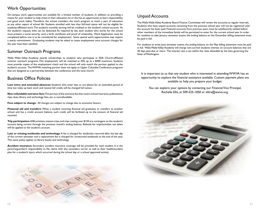## Work Opportunities

On-campus work opportunities are available for a limited number of students. In addition to providing a means for your student to help invest in their education, he or she has an opportunity to learn responsibility and good work habits. Therefore, the school considers the work program as much a part of education as any other aspect of school life. Students enrolled with less than full-load status will not be eligible for academy-affiliated work. The student's monthly earning will be credited to the student's school account. At the student's request, tithe can be deducted. As required by law, each student who works for the school must present a social security card, a birth certificate and proof of citizenship. Work Application must be completed before one is to be considered for employment. Some special work opportunities may require a yearly commitment. Graduating students may be asked to cease employment once account charges for the year have been satisfied.

## Summer Outreach Programs

Walla Walla Valley Academy awards scholarships to students who participate in SDA Church-affiliated summer outreach programs. This employment will be matched at 25% up to a \$400 maximum. Students must provide copies of the employment check and the school will only match the portion applied to the student's account. The WWVA matching portion does not apply to Upper Columbia Conference programs that are designed as a partnership between the conference and the local church.

## Business Office Policies

**Late entry and extended absences:** Students who enter late, or are absent for an extended period of time but make up back work and receive full credit, will be charged full tuition.

**Non-refundable entrance fees:** The portion of the entrance fee that covers school insurance, publications, class dues, library and technology fees, etc. is nonrefundable.

**Fees subject to change:** All charges are subject to change due to economic factors.

**Financial aid and transfers:** When a student receiving financial aid graduates or transfers to another school and has a credit account balance, such credit will be forfeited up to the amount of financial aid received.

**Trip participation:** ASB activities, mission trips, and trips costing over \$150 are contingent on the student's account being current through the previous month's ending balance. Refunds for trips/activities not taken will be applied to the student's account.

**Late or missing textbooks and technology:** A fee is charged for textbooks returned after the last day of the current semester and a replacement fee is charged for unreturned textbooks at the end of the year. This same policy applies to library books and technology.

**Accident insurance:** Secondary accident insurance coverage will be provided for each student. It is the parent's/guardian's responsibility to file claims with this secondary carrier as well as their health/accident plan for a student's injury which occurred during the school day or a school approved activity.



## Unpaid Accounts

The Walla Walla Valley Academy Board Finance Committee will review the accounts at regular intervals. Students who have unpaid accounts remaining from the previous school year will not be registered until the account has been paid. Financial accounts from previous years must be satisfactorily settled before other members of the immediate family will be permitted to enter for the current school year. In order for students to take January semester exams, the ending balance on the December billing statement must be paid in full.

For students to write June semester exams, the ending balance on the May billing statement must be paid in full. Walla Walla Valley Academy will charge non-current students interest on account balances that are 30 days past-due or more. The interest rate is set within the rates allowable by the laws governing the State of Washington.

It is important to us that any student who is interested in attending WWVA has an opportunity to explore the financial assistance available. Custom payment plans are available to help you prepare your budget.

You can explore your options by contacting our Financial Vice Principal, Rachelle Ellis, at 509-525-1050 or ellira@wwva.org.

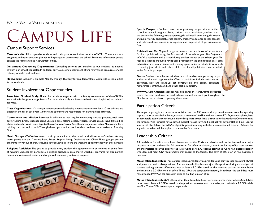# Sports Program: Students have the opportunity to participate in the<br>school intramural program playing various sports. In addition, students can<br>try out for the following varsity sports: girls volleyball, boys and girls var

## Campus Support Services

**Campus Visits:** All prospective students and their parents are invited to visit WWVA. There are tours, programs, and other activities planned to help acquaint visitors with the school. For more information, please contact the Marketing and Recruitment office.

**On-campus Counseling Department:** Counseling services are available to our students as needed through our school counselor. In addition, our Counseling department offers referral and resource services relating to health and wellness.

**Hot Lunch:** Hot lunch is available Monday through Thursday for an additional fee. Contact the school office for more details.

#### Student Involvement Opportunities

**Associated Student Body:** All enrolled students, together with the faculty, are members of the ASB. This association is the general organization for the student body and is responsible for social, spiritual, and cultural activities.

**Class Organizations:** Class organizations provide leadership opportunities for students. Class officers are elected in the fall of each year. Officers and sponsors are responsible for planning class activities.

**Community and Mission Service:** In addition to our regular community service projects, each year during Spring Break, students spend vacation time helping others. Mission service groups have traveled to places such as Africa, Arizona, Baja, California, Canada, Costa Rica, Honduras, Jamaica, Latvia, Mexico, and Peru building churches and schools. Through these opportunities, each student can have the experience of serving God.

**Music Groups:** WWVA has several music groups suited to the varied musical interests of students. Among these groups are the Concert Band, Praise Ringers, String Orchestra, and Choir. These groups present programs for various church, civic, and school activities. There are weekend appointments with these groups.

**Religious Activities:** The goal is to provide every student the opportunity to be involved in some form of ministry. Students can participate in mission trips, local area church worships, programs for area nursing homes and retirement centers, and organized community outreach projects.



school intramural program playing various sports. In addition, students can try out for the following varsity sports: girls volleyball, boys and girls varsity and junior varsity basketball, cross country, track. We also offer soccer, baseball and golf. Good sportsmanship is expected and required of all participants and fans.

**Publications:** *The Mugbook*, a get-acquainted picture book of students and faculty, is published during the first month of the school year. *The Delphian* is WWVA's yearbook and is issued during the last month of the school year. *The Page* is a student-produced newspaper produced by the publications class. Each publication provides an important training opportunity for students who wish to develop journalistic and related skills. Fees for all publications are included in the financial package.

**Drama:** Students can enhance their theatrical skills and knowledge through plays and other dramatic opportunities. Ways to participate include performance, costumes, hair and make-up, set construction and design, backstage management, lighting, sound and other technical artistry.

**WWVA AcroKnights:** Students may also enroll in AcroKnights acrobatics team. The team performs at local schools as well as on trips throughout the Northwest and a mission trip every three years.

#### Participation Criteria

Those participating in extracurricular activities such as ASB weekend trips, mission excursions, backpacking trip, etc, must be enrolled full time, maintain a minimum 2.0 GPA with no current D's, F's, or incompletes, have an acceptable attendance record, no major disciplinary action, have clearance by the Academic Committee and the Financial Vice Principal, have a signed medical release form, and meet activity payment(s) on time. League sports will also follow the WIAA's eligibility guidelines along with the aforementioned criteria. Refunds for any trip not taken will be applied to the student's account.

#### Leadership Criteria

All candidates for office must have observable positive Christian behavior and not be involved in a major disciplinary action and enrolled full time to run for office. In addition, a candidate for any office must remove any incompletes received prior to the last grading period. A student desiring to run for an elected position who does not meet GPA requirements may appeal to the faculty. The term of office for an ASB position is one year.

**Major office leadership:** These offices include president, vice president, and spiritual vice president of ASB; and junior and senior class president. A student may hold only one major office position during a school year. A student seeking a major office must have at least a 3.0 GPA based on the previous quarter, not cumulative, and maintain a 3.0 GPA while in office. These GPAs are computed separately. In addition, the candidate must have attended WWVA the semester prior to holding a major office.

**Minor office leadership:** All offices other than those listed above are considered minor offices. Candidates must have at least a 2.0 GPA based on the previous semester, not cumulative, and maintain a 2.0 GPA while in office. These GPAs are computed separately.

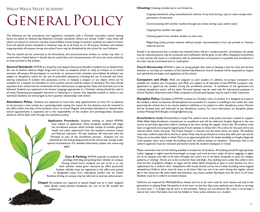# GENERAL POLICY

The following are the procedures and regulations consistent with a Christian secondary school setting. Some are based on Seventh-day Adventist Christian standards. Others are merely "traffic" rules, while still others are based on common courtesy toward fellow human beings. In essence, students are asked to honor God and uphold school standards in whatever they do at all times, on or off campus. Students who behave inappropriately off-campus during non-school hours may be disciplined by the school for such behavior.

This list should not be construed to be all-inclusive, and announcements, written or verbal, may alter or amend what is listed below. It should also be noted that such announcements will carry the same authority as those printed in this bulletin.

**General Standards:** WWVA is a drug-free and weapon-free zone; therefore students are to abstain from the use of alcohol, tobacco, illegal drugs, and to have no weapons (mock or real) on campus or at school activities off-campus. All participants in curricular or extracurricular activities (non-athletic & athletic) are subject to disciplinary action for the use of controlled substances, including the use of steroids and mindaltering substances. A student who possesses, carries or displays a weapon or any object which can be mistaken for a weapon to intimidate or harm another person, shall be subject to discipline. This may include expulsion from school and the involvement of law enforcement as appropriate. State and local laws are to be followed. Students are expected to be honest. Language appropriate in a Christian setting should be used at all times. Possessing pornographic literature or behaving in a manner that degrades oneself or others is not tolerated. Students are encouraged to form positive relationships with others.

**Attendance Policy:** Students are expected to meet their daily appointments on time. For an absence to be excused, a note written by a parent/guardian stating the reason for the absence must be received in the office within two days of the student's return to school. Regular and prompt attendance to classes/other school appointments is expected and is the responsibility of the student and parent/guardian. Excessive absences will be dealt with through the attendance policy.

> **Application Procedures:** Students wishing to attend WWVA, must submit an application. Once accepted, students will begin the enrollment process which includes receipt of transfer grades, health and other paperwork from the student's previous school and financial clearance. All new students will interview with the Principal as part of the enrollment process. Students are not admitted for the final grading period of the school year except under special circumstances. For detailed information, please visit wwva.org/ apply.

**Cars & Parking:** WWVA extends to students the privilege of driving and parking their vehicles on campus. During school hours, students are not to be in or use their vehicles unless given clearance by office personnel. Student vehicles must be registered in the office and parked in designated areas. Cars improperly parked may be towed. Reckless driving on campus may be referred to local law enforcement.

**Chapel:** All students are required to attend chapel and sit in their assigned seats. Books, notes, phones, backpacks, etc., are to be left outside the auditorium.

**Cheating:** Cheating includes but is not limited to...

Copying homework, using notes/electronic devices of any kind during a quiz or exam except with permission of instructor

Communicating with another student through any means during a quiz and/or exam

Copying from another test paper

Claiming papers from another student as one's own

Plagiarizing (using printed material without proper documentation) from any printed or Internet material sources.

Should it be discovered that a student has cheated, there will be a student-teacher consultation, the grade may be reduced, parents may be contacted, and notification will be given to the office. Repeated involvement in such activity will result in a conference with an administrator and parents. It is possible that enrollment in the class may be terminated and no credit given.

**Church Membership:** WWVA is open to young people who want to develop a love for God and service, whether or not they are members of the Seventh-day Adventist church. Students will be expected to respect and uphold the principles and regulations of the school.

**Computers and iPads:** iPads are assigned to each student. In addition, on-campus computers are available for student use. Computers and iPads are subject to all elements of the WWVA computer user agreement as signed by the student during the enrollment process. If conditions of the agreement are violated, disciplinary action will be taken. Personal laptops may be used only for educational purposes at school. Teachers determine when iPads, computers and personal laptops may be used in their classroom.

**Discipline Policy:** Discipline at WWVA is based on Christian rules of conduct. It is designed to create in the student a desire to become self-disciplined and successful. If a student is unwilling to live within the rules governing the school, she or he may be asked to withdraw or be subject to other disciplinary action. Parents will be involved with, and informed of, any disciplinary actions. For more information on discipline, please contact Principal Erik Borges at borger@wwva.org.

**Dress/Uniform Code:** Dress/Uniform Code: The uniform dress code policy has been created to support Walla Walla Valley Academy's commitment to excellence and will be enforced. Graphic Apparel is the one source to purchase approved uniform clothing to be worn during the regular school day. All students must wear an approved and properly logoed polo, V-neck sweater, or dress shirt. The colors for the polo shirts are maroon, black, white, and grey. The V-neck Sweater is maroon and the dress shirts are white. All students must wear uniform-style skirts, shorts, or pants. These may be purchased at a store that sells your size and fit. These are to be either black or khaki. There is an approved plaid skirt for ladies (available at Graphic Apparel). Cold weather attire worn inside the building must be uniform jackets or sweaters. Outerwear that is not uniform approved must be removed and stored inside the student's backpack or locker.

Please remember that not all clothing available is modest for all students. All clothing should fit appropriately. Ladies' leggings or tights must be knee-length or longer and must be worn under all skirts. Leggings or tights are to be opaque (not able to be seen through) and colors are to be black, burgundy, or grey (no designs, patterns, or netting). Shorts are to be no shorter than mid-thigh. Any clothing worn under the uniform shirt must be free of graphics, designs, or logos and be white, black, burgundy, or grey in color. Jackets are not a replacement for a uniform shirt. Sweatshirts with hoods should not be worn inside (including wwva logoed sweatshirts) Uniform shirts must be worn at all times. Hats are not to be worn during the regular school day in the classroom. By state health law, footwear (e.g. shoes, sandals, flip-flops) must be worn at all times. Students must be in uniform to attend classes.

Uniforms are required for PE/Health/Acro classes and are to be worn only for such classes and only in the gymnasium or playing fields. No jewelry is to be worn on the face (lips, nose, eyebrow, etc.) Studs or earrings no more than 1" in length may be worn in the earlobes. Tattoos are not allowed. Hair color is to be kept a natural hair color. Hairstyles must not be faddish or draw undue attention to a student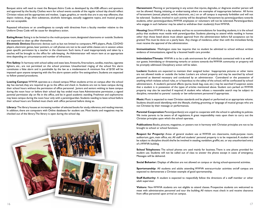Banquet attire will need to meet the Banquet Attire Code as developed by the ASB officers and sponsors and approved by the faculty. Clothes worn for school events outside of the regular school day should reflect Christian values and be appropriate and modest. Logos, graphics, or words that are in any way offensive, that depict violence, drugs, illicit substances, alcoholic beverages, sexually suggestive topics, and musical groups are not acceptable.

Repeated infractions or an unwillingness to comply with directives from a faculty member relative to the Uniform Dress Code will be cause for disciplinary action.

**Eating Areas:** Eating is to be limited to the multi-purpose room, designated classrooms or outside. Students are expected to clean up after themselves.

**Electronic Devices:** Electronic devices such as but not limited to computers, MP3 players, iPods, CD/DVD players, electronic games, laser pointers, or cell phones are not to be used while classes are in session unless given specific permission by a teacher in the classroom. Such items, if used inappropriately and taken by a teacher, will be brought to the office for safe-keeping. An Administrator will return item at an appropriate time depending on circumstance and number of infractions.

**Fire Safety:** In harmony with school safety and state laws, fireworks, firecrackers, candles, matches, cigarette lighters, etc., are not permitted on the school premises. Unauthorized ringing of the school fire alarm constitutes a false alarm and is punishable by the law as a misdemeanor. A minimum fine of \$150 will be imposed upon anyone tampering with the fire alarm system and/or fire extinguishers. Students are expected to follow posted procedures.

**Leaving Campus:** WWVA operates as a closed campus. When students arrive on campus after the school day has started, they are required to go to the office and check in. Students are not to leave campus during their school hours without the permission of office personnel. Juniors and seniors wishing to leave campus during the noon hour or before their school day has ended must have Administrative permission, a signed parental permission slip on file in the office, and be in good academic standing. Freshmen and sophomores may leave campus during the noon hour only with a parent/guardian. Students needing to leave school before their school hours are finished must check with office personnel before doing so.

**Library:** The library houses an increasing number of selected books for study, reference, and reading interest. In addition, there are computers with Online databases for student use. Most books and magazines may be checked out of the library. The library is open during the school day.



**Harassment:** Planning or participating in any action that injures, degrades, or disgraces another person will not be allowed. Hazing, initiating, or embarrassing others are examples of inappropriate behavior. All forms of harassment (sexual, physical, verbal, electronic, etc.) on or off campus is expressly forbidden and will not be tolerated. Students involved in such activity will be disciplined. Harassment by parents/guardians towards students, other parents/guardians, WWVA employees or volunteers will not be tolerated. Parents/guardians who engage in such behavior may be asked to withdraw their student(s) from WWVA.

**Housing:** Since WWVA is a day academy and has no accommodations for boarding students, it is the school policy that students must reside with parent/guardian. Students planning to attend while residing in homes other than those listed above must obtain approval from the administration before full acceptance can be granted. This must be done on a yearly basis. Any change of residence, other than with the immediate family, must receive the approval of the administration.

**Immunizations:** Washington state law requires that no student be admitted to school without written evidence of immunizations, signed by a liscened health care provider.

**Intimidation/Threats:** WWVA is to be a safe environment for all individuals connected with it as well as our guests. Intimidating or threatening remarks or actions towards the WWVA community or property will be promptly addressed. Disciplinary action will be taken.

**Lockers:** Students are expected to maintain their assigned locker. Inappropriate pictures or other items are not allowed inside or outside the locker. Lockers are school property and may be searched by school personnel as deemed necessary and conducted by an administrator. Contraband or the possession of anything which violates school rules, or is hazardous to the safety of the school, will be confiscated by school administrators. A student's personal effects (purse, book bag, coat, etc.) may be searched if suspicion exists that a student is in possession of the types of articles mentioned above. Student cars parked on WWVA property may also be searched if required. A student who refuses a reasonable search may be subject to discipline, remanded to parents' custody or law enforcement personnel if appropriate.

**Music:** Music is expected to meet Christian standards and be played or performed at an appropriate volume. Students should avoid identifying with the lifestyle, clothing, grooming, or language of musical groups who are not Christian by their message or performances.

**Parental Cooperation: Parent/guardian(s) are urged to cooperate with the school in upholding its policies.** We invite parents to be aware of all regulations. A great responsibility rests upon them to carry out the Christian principles upon which the school operates.

**Publications:** Books, pictures, magazines, or posters not in harmony with Christian principles are not to be brought to school or school functions.

**Respect for Property:** Areas of general student use at WWVA are classrooms, multi-purpose room, auditorium, gym, main office, etc. All staff and students' personal property is to be respected. A student will be subject to discipline should she/he be involved in stealing, vandalism, graffiti, etc. or any unauthorized entry of a WWVA building.

**School Telephones:** The school phones are used mainly for business. There is one phone provided for student use. Students will not be called out of class to answer the phone except in cases of emergency. Messages will be delivered.

**Social Behavior:** Displays of affection are not allowed on campus or during school-sponsored activities.

**Sportsmanship:** All students and adults attending WWVA extracurricular activities on/off campus are expected to demonstrate a Christian example of good sportsmanship.

**Staff Authority:** A student is expected to respectfully follow the directions of a staff member or other adult supervisor.

**Visitors:** Non-WWVA students are not eligible to attend classes. Prospective students are welcomed to meet with administrative personnel and tour the building. All visitors must check in and receive clearance from office personnel upon arrival on campus.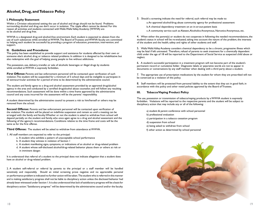#### **Alcohol, Drug, and Tobacco Policy**

#### **I. Philosophy Statement**

Within a Christian educational setting the use of alcohol and drugs should not be found. Problems surrounding alcohol and drug use don't occur in isolation. The ripple effect cannot be denied. For this reason all activities and students connected with Walla Walla Valley Academy (WWVA) are to be alcohol and drug free.

WWVA is a designated drug and alcohol-free environment. Each student is expected to abstain from the use of such substances while enrolled at WWVA. The Board of Trustees and WWVA faculty are committed to helping each student be successful by providing a program of education, prevention, intervention, and support.

#### **II. Guidelines and Procedures**

This policy has been established to provide support and assistance for students affected by their own or someone else's alcohol, drug or tobacco related problems. In addition it is designed to be rehabilitative but also redemptive with the goal of helping young people to live without addictions.

The possession, use, delivery, transfer, or sale of alcoholic beverages or illegal drugs by students while enrolled at WWVA is expressly forbidden.

**First Offense:** Parents and law enforcement personnel will be contacted upon verification of such violation. The student will be suspended for a minimum of 5 school days and be ineligible to participate in all extracurricular activities for a period of time to be determined by the administrative council.

The student and family agree to a drug and alcohol assessment provided by an approved drug/alcohol agency in the area and conducted by a certified drug/alcohol abuse counselor, and will follow any resulting recommendations. Such assessment will be done within a time frame approved by the administrative council and any costs incurred for the assessment will be the parents' responsibility.

A student determined by the administrative council to present a risk to him/herself or others may be removed from the school.

**Second Offense:** Parents and law enforcement personnel will be contacted upon verification of the violation. The student will be placed on indefinite suspension and remain so until a meeting can be arranged with the family and faculty. Whether or not the student is asked to withdraw from school will depend partially on the student and family, who once again agree to a drug and alcohol assessment and the following of the agency's recommendations. Conditions relative to the time frame and costs will be the same as for the first offense.

**Third Offense:** The student will be asked to withdraw from attendance at WWVA.

1. All staff members are expected to refer to the principal:

- a. A student who exhibits a pattern of unacceptable school performance
- b. A student they witness in violation of Section 1
- c. A student manifesting signs, symptoms, or indications of an alcohol or drug-related problem
- d. A student whose self-disclosed alcohol/drug-related behavior places them or others at risk or in imminent danger.

It is understood that referral of a student to the principal does not indicate allegation that a student does have an alcohol or drug-related problem.

2. A student self-referral or referral by parents to the principal or a staff member will be handled sensitively and responsibly. Should an initial screening prove negative and no appreciable personal or performance problem is indicated no further action will be taken. The student who is referred in this manner and is making satisfactory progress shall not be liable to disciplinary action unless the disclosed behavior had already been witnessed under Section 1. It is also understood that lack of satisfactory progress will be a basis for disciplinary action. "Satisfactory progress" will be determined by the administrative council and/or the faculty.

- 3. Should a screening indicate the need for referral, such referral may be made to:
	- a. An approved alcohol/drug abuse community agency for professional assessment
	- b. A chemical dependency treatment on an in-or-out-patient basis
	- c. A community service such as Alateen, Alcoholics Anonymous, Narcotics Anonymous, etc.

4. When either the parent(s) or student do not cooperate in following the needed recommendations, the student's status in school will be re-evaluated, taking into account the nature of the problem, the interests of the student and the health, safety and rights of other students and staff.

5. Walla Walla Valley Academy considers chemical dependency to be a chronic, progressive illness which may be fatal if left untreated. Therefore, refusal of parents to seek treatment for a chemically dependent child under the age of 18 will be reported to the Department of Social Service as suspected child abuse or neglect.

6. A student's successful participation in a treatment program will not become part of the student's permanent record or cumulative folder. Diagnostic labels or pejorative words are not to appear in documents or conversations by any staff member when dealing with a third party about a student.

7. The appropriate use of prescription medications by the student for whom they are prescribed will not be construed as a violation of this policy.

8. Staff members will be protected from personal liability to the extent that they act in good faith, in accordance with this policy and other voted policies approved by the Board of Trustees.

#### **III. Tobacco/Vaping Product Policy**

The use, possession or transmission of tobacco/vaping products by a WWVA student is expressly forbidden. Violations will be reported to the respective parents and the student will be subject to disciplinary action that may include any or all of the following: ·

- a) student & parent conference with school personnel
- b) professional evaluation
- c) participation in a tobacco cessation program
- d) suspension from school
- e) being asked to withdraw from school
- f) other action as determined by school personnel